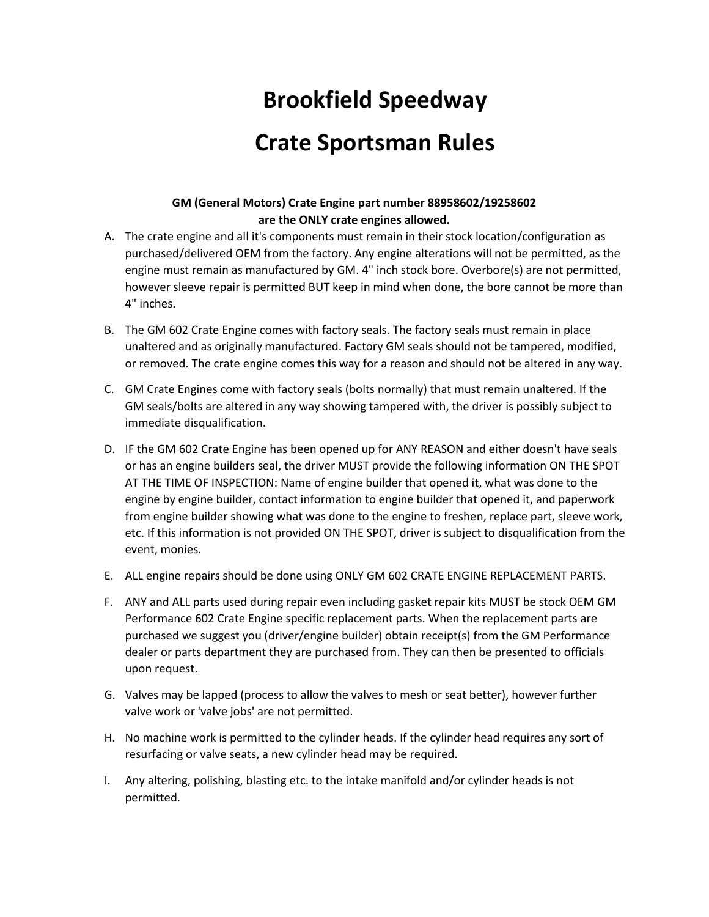# **Brookfield Speedway Crate Sportsman Rules**

#### **GM (General Motors) Crate Engine part number 88958602/19258602 are the ONLY crate engines allowed.**

- A. The crate engine and all it's components must remain in their stock location/configuration as purchased/delivered OEM from the factory. Any engine alterations will not be permitted, as the engine must remain as manufactured by GM. 4" inch stock bore. Overbore(s) are not permitted, however sleeve repair is permitted BUT keep in mind when done, the bore cannot be more than 4" inches.
- B. The GM 602 Crate Engine comes with factory seals. The factory seals must remain in place unaltered and as originally manufactured. Factory GM seals should not be tampered, modified, or removed. The crate engine comes this way for a reason and should not be altered in any way.
- C. GM Crate Engines come with factory seals (bolts normally) that must remain unaltered. If the GM seals/bolts are altered in any way showing tampered with, the driver is possibly subject to immediate disqualification.
- D. IF the GM 602 Crate Engine has been opened up for ANY REASON and either doesn't have seals or has an engine builders seal, the driver MUST provide the following information ON THE SPOT AT THE TIME OF INSPECTION: Name of engine builder that opened it, what was done to the engine by engine builder, contact information to engine builder that opened it, and paperwork from engine builder showing what was done to the engine to freshen, replace part, sleeve work, etc. If this information is not provided ON THE SPOT, driver is subject to disqualification from the event, monies.
- E. ALL engine repairs should be done using ONLY GM 602 CRATE ENGINE REPLACEMENT PARTS.
- F. ANY and ALL parts used during repair even including gasket repair kits MUST be stock OEM GM Performance 602 Crate Engine specific replacement parts. When the replacement parts are purchased we suggest you (driver/engine builder) obtain receipt(s) from the GM Performance dealer or parts department they are purchased from. They can then be presented to officials upon request.
- G. Valves may be lapped (process to allow the valves to mesh or seat better), however further valve work or 'valve jobs' are not permitted.
- H. No machine work is permitted to the cylinder heads. If the cylinder head requires any sort of resurfacing or valve seats, a new cylinder head may be required.
- I. Any altering, polishing, blasting etc. to the intake manifold and/or cylinder heads is not permitted.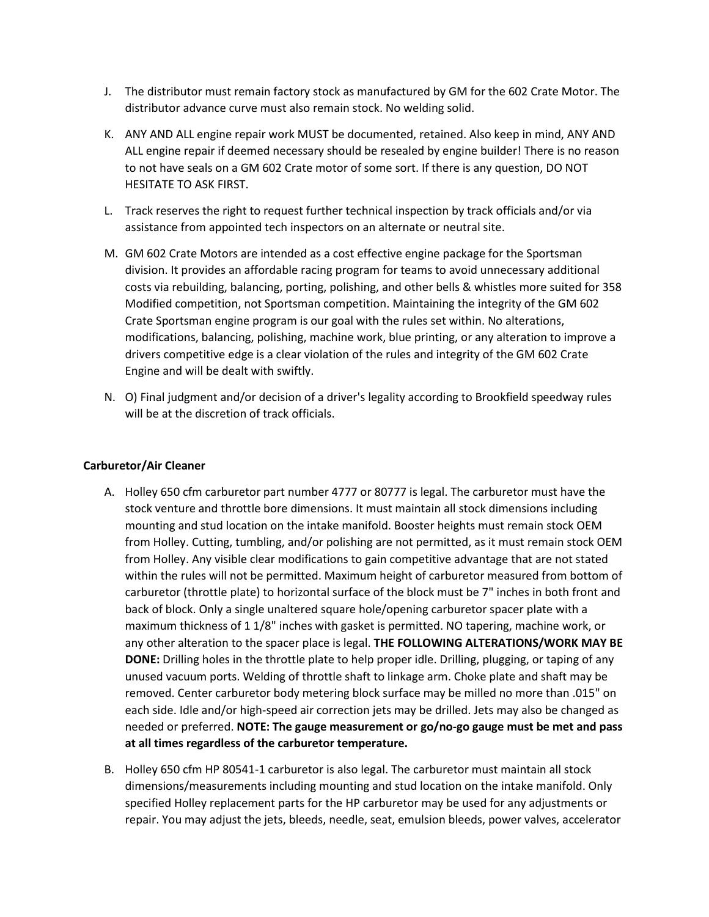- J. The distributor must remain factory stock as manufactured by GM for the 602 Crate Motor. The distributor advance curve must also remain stock. No welding solid.
- K. ANY AND ALL engine repair work MUST be documented, retained. Also keep in mind, ANY AND ALL engine repair if deemed necessary should be resealed by engine builder! There is no reason to not have seals on a GM 602 Crate motor of some sort. If there is any question, DO NOT HESITATE TO ASK FIRST.
- L. Track reserves the right to request further technical inspection by track officials and/or via assistance from appointed tech inspectors on an alternate or neutral site.
- M. GM 602 Crate Motors are intended as a cost effective engine package for the Sportsman division. It provides an affordable racing program for teams to avoid unnecessary additional costs via rebuilding, balancing, porting, polishing, and other bells & whistles more suited for 358 Modified competition, not Sportsman competition. Maintaining the integrity of the GM 602 Crate Sportsman engine program is our goal with the rules set within. No alterations, modifications, balancing, polishing, machine work, blue printing, or any alteration to improve a drivers competitive edge is a clear violation of the rules and integrity of the GM 602 Crate Engine and will be dealt with swiftly.
- N. O) Final judgment and/or decision of a driver's legality according to Brookfield speedway rules will be at the discretion of track officials.

#### **Carburetor/Air Cleaner**

- A. Holley 650 cfm carburetor part number 4777 or 80777 is legal. The carburetor must have the stock venture and throttle bore dimensions. It must maintain all stock dimensions including mounting and stud location on the intake manifold. Booster heights must remain stock OEM from Holley. Cutting, tumbling, and/or polishing are not permitted, as it must remain stock OEM from Holley. Any visible clear modifications to gain competitive advantage that are not stated within the rules will not be permitted. Maximum height of carburetor measured from bottom of carburetor (throttle plate) to horizontal surface of the block must be 7" inches in both front and back of block. Only a single unaltered square hole/opening carburetor spacer plate with a maximum thickness of 1 1/8" inches with gasket is permitted. NO tapering, machine work, or any other alteration to the spacer place is legal. **THE FOLLOWING ALTERATIONS/WORK MAY BE DONE:** Drilling holes in the throttle plate to help proper idle. Drilling, plugging, or taping of any unused vacuum ports. Welding of throttle shaft to linkage arm. Choke plate and shaft may be removed. Center carburetor body metering block surface may be milled no more than .015" on each side. Idle and/or high-speed air correction jets may be drilled. Jets may also be changed as needed or preferred. **NOTE: The gauge measurement or go/no-go gauge must be met and pass at all times regardless of the carburetor temperature.**
- B. Holley 650 cfm HP 80541-1 carburetor is also legal. The carburetor must maintain all stock dimensions/measurements including mounting and stud location on the intake manifold. Only specified Holley replacement parts for the HP carburetor may be used for any adjustments or repair. You may adjust the jets, bleeds, needle, seat, emulsion bleeds, power valves, accelerator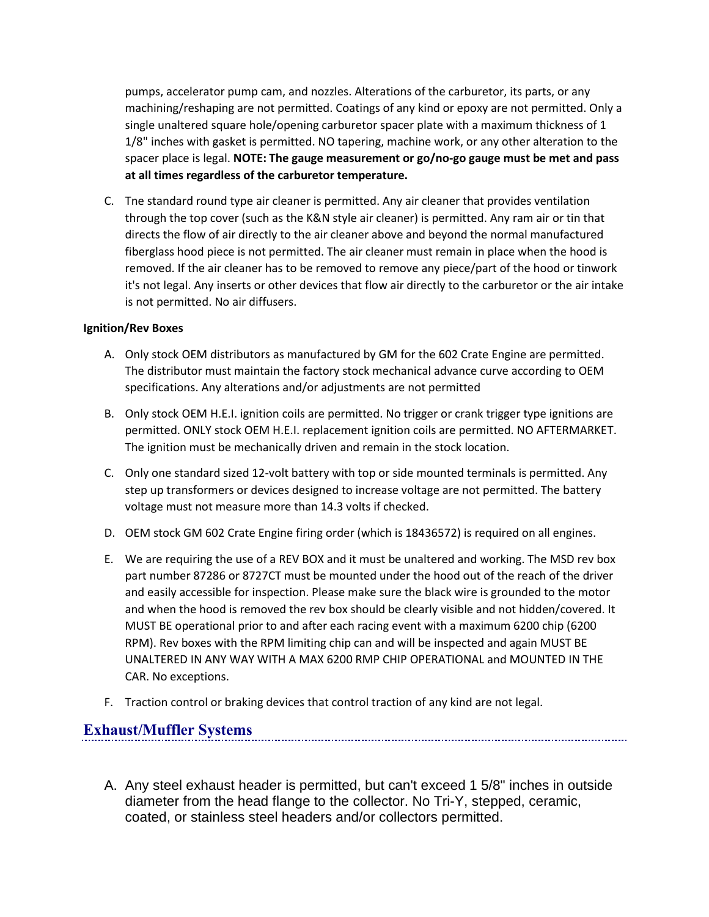pumps, accelerator pump cam, and nozzles. Alterations of the carburetor, its parts, or any machining/reshaping are not permitted. Coatings of any kind or epoxy are not permitted. Only a single unaltered square hole/opening carburetor spacer plate with a maximum thickness of 1 1/8" inches with gasket is permitted. NO tapering, machine work, or any other alteration to the spacer place is legal. **NOTE: The gauge measurement or go/no-go gauge must be met and pass at all times regardless of the carburetor temperature.**

C. Tne standard round type air cleaner is permitted. Any air cleaner that provides ventilation through the top cover (such as the K&N style air cleaner) is permitted. Any ram air or tin that directs the flow of air directly to the air cleaner above and beyond the normal manufactured fiberglass hood piece is not permitted. The air cleaner must remain in place when the hood is removed. If the air cleaner has to be removed to remove any piece/part of the hood or tinwork it's not legal. Any inserts or other devices that flow air directly to the carburetor or the air intake is not permitted. No air diffusers.

#### **Ignition/Rev Boxes**

- A. Only stock OEM distributors as manufactured by GM for the 602 Crate Engine are permitted. The distributor must maintain the factory stock mechanical advance curve according to OEM specifications. Any alterations and/or adjustments are not permitted
- B. Only stock OEM H.E.I. ignition coils are permitted. No trigger or crank trigger type ignitions are permitted. ONLY stock OEM H.E.I. replacement ignition coils are permitted. NO AFTERMARKET. The ignition must be mechanically driven and remain in the stock location.
- C. Only one standard sized 12-volt battery with top or side mounted terminals is permitted. Any step up transformers or devices designed to increase voltage are not permitted. The battery voltage must not measure more than 14.3 volts if checked.
- D. OEM stock GM 602 Crate Engine firing order (which is 18436572) is required on all engines.
- E. We are requiring the use of a REV BOX and it must be unaltered and working. The MSD rev box part number 87286 or 8727CT must be mounted under the hood out of the reach of the driver and easily accessible for inspection. Please make sure the black wire is grounded to the motor and when the hood is removed the rev box should be clearly visible and not hidden/covered. It MUST BE operational prior to and after each racing event with a maximum 6200 chip (6200 RPM). Rev boxes with the RPM limiting chip can and will be inspected and again MUST BE UNALTERED IN ANY WAY WITH A MAX 6200 RMP CHIP OPERATIONAL and MOUNTED IN THE CAR. No exceptions.
- F. Traction control or braking devices that control traction of any kind are not legal.

#### **Exhaust/Muffler Systems**

A. Any steel exhaust header is permitted, but can't exceed 1 5/8" inches in outside diameter from the head flange to the collector. No Tri-Y, stepped, ceramic, coated, or stainless steel headers and/or collectors permitted.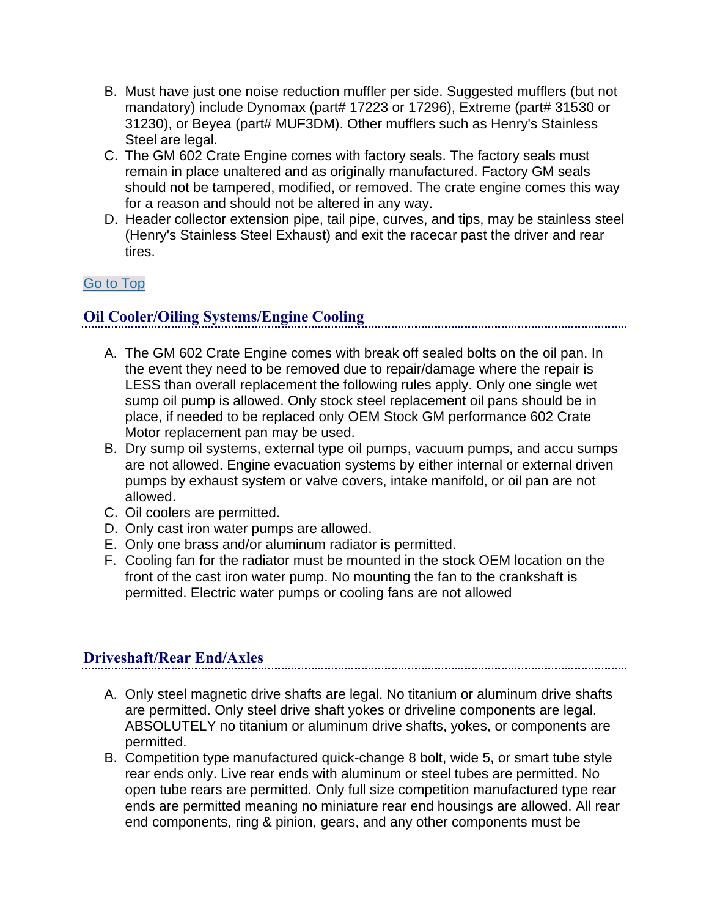- B. Must have just one noise reduction muffler per side. Suggested mufflers (but not mandatory) include Dynomax (part# 17223 or 17296), Extreme (part# 31530 or 31230), or Beyea (part# MUF3DM). Other mufflers such as Henry's Stainless Steel are legal.
- C. The GM 602 Crate Engine comes with factory seals. The factory seals must remain in place unaltered and as originally manufactured. Factory GM seals should not be tampered, modified, or removed. The crate engine comes this way for a reason and should not be altered in any way.
- D. Header collector extension pipe, tail pipe, curves, and tips, may be stainless steel (Henry's Stainless Steel Exhaust) and exit the racecar past the driver and rear tires.

#### [Go to Top](http://aftonmotorsportspark.com/rules-crate-sportsman2.shtml#top)

# **Oil Cooler/Oiling Systems/Engine Cooling**

- A. The GM 602 Crate Engine comes with break off sealed bolts on the oil pan. In the event they need to be removed due to repair/damage where the repair is LESS than overall replacement the following rules apply. Only one single wet sump oil pump is allowed. Only stock steel replacement oil pans should be in place, if needed to be replaced only OEM Stock GM performance 602 Crate Motor replacement pan may be used.
- B. Dry sump oil systems, external type oil pumps, vacuum pumps, and accu sumps are not allowed. Engine evacuation systems by either internal or external driven pumps by exhaust system or valve covers, intake manifold, or oil pan are not allowed.
- C. Oil coolers are permitted.
- D. Only cast iron water pumps are allowed.
- E. Only one brass and/or aluminum radiator is permitted.
- F. Cooling fan for the radiator must be mounted in the stock OEM location on the front of the cast iron water pump. No mounting the fan to the crankshaft is permitted. Electric water pumps or cooling fans are not allowed

# **Driveshaft/Rear End/Axles**

- A. Only steel magnetic drive shafts are legal. No titanium or aluminum drive shafts are permitted. Only steel drive shaft yokes or driveline components are legal. ABSOLUTELY no titanium or aluminum drive shafts, yokes, or components are permitted.
- B. Competition type manufactured quick-change 8 bolt, wide 5, or smart tube style rear ends only. Live rear ends with aluminum or steel tubes are permitted. No open tube rears are permitted. Only full size competition manufactured type rear ends are permitted meaning no miniature rear end housings are allowed. All rear end components, ring & pinion, gears, and any other components must be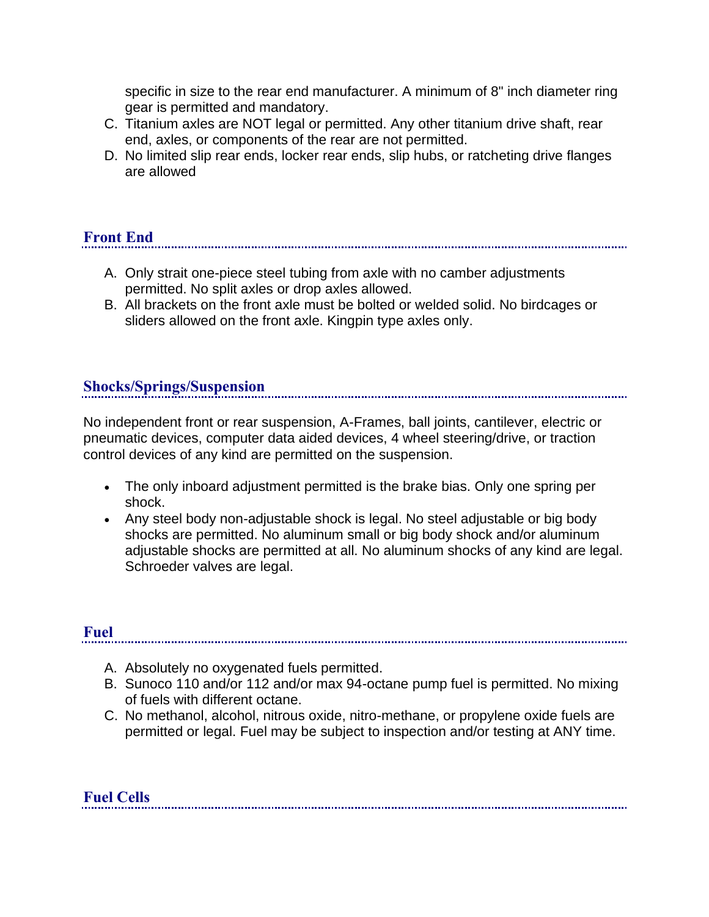specific in size to the rear end manufacturer. A minimum of 8" inch diameter ring gear is permitted and mandatory.

- C. Titanium axles are NOT legal or permitted. Any other titanium drive shaft, rear end, axles, or components of the rear are not permitted.
- D. No limited slip rear ends, locker rear ends, slip hubs, or ratcheting drive flanges are allowed

# **Front End**

- A. Only strait one-piece steel tubing from axle with no camber adjustments permitted. No split axles or drop axles allowed.
- B. All brackets on the front axle must be bolted or welded solid. No birdcages or sliders allowed on the front axle. Kingpin type axles only.

# **Shocks/Springs/Suspension**

No independent front or rear suspension, A-Frames, ball joints, cantilever, electric or pneumatic devices, computer data aided devices, 4 wheel steering/drive, or traction control devices of any kind are permitted on the suspension.

- The only inboard adjustment permitted is the brake bias. Only one spring per shock.
- Any steel body non-adjustable shock is legal. No steel adjustable or big body shocks are permitted. No aluminum small or big body shock and/or aluminum adjustable shocks are permitted at all. No aluminum shocks of any kind are legal. Schroeder valves are legal.

#### **Fuel**

- A. Absolutely no oxygenated fuels permitted.
- B. Sunoco 110 and/or 112 and/or max 94-octane pump fuel is permitted. No mixing of fuels with different octane.
- C. No methanol, alcohol, nitrous oxide, nitro-methane, or propylene oxide fuels are permitted or legal. Fuel may be subject to inspection and/or testing at ANY time.

# **Fuel Cells**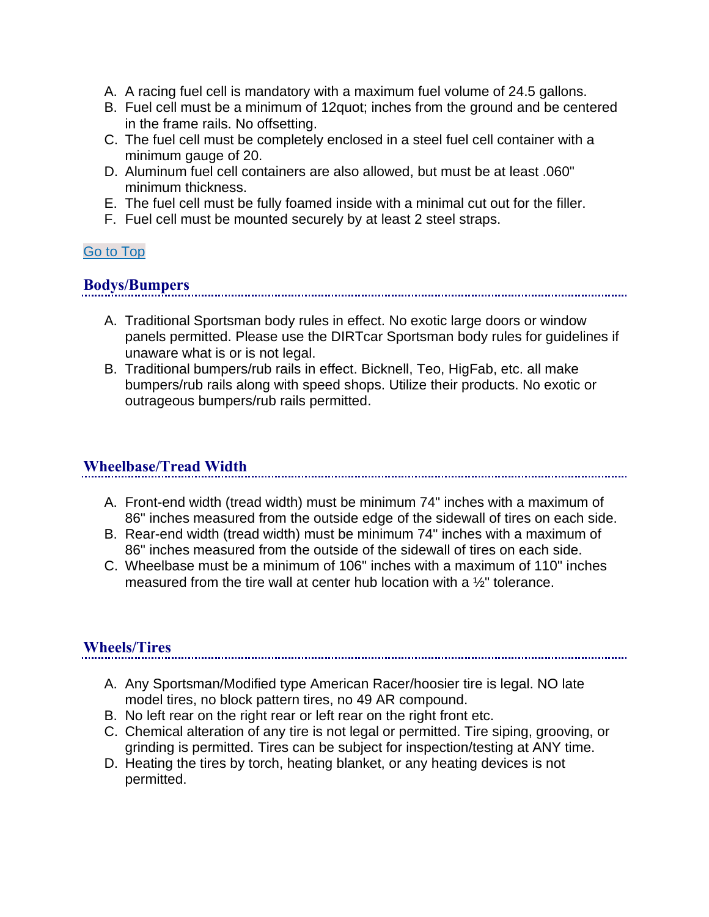- A. A racing fuel cell is mandatory with a maximum fuel volume of 24.5 gallons.
- B. Fuel cell must be a minimum of 12quot; inches from the ground and be centered in the frame rails. No offsetting.
- C. The fuel cell must be completely enclosed in a steel fuel cell container with a minimum gauge of 20.
- D. Aluminum fuel cell containers are also allowed, but must be at least .060" minimum thickness.
- E. The fuel cell must be fully foamed inside with a minimal cut out for the filler.
- F. Fuel cell must be mounted securely by at least 2 steel straps.

#### [Go to Top](http://aftonmotorsportspark.com/rules-crate-sportsman2.shtml#top)

#### **Bodys/Bumpers**

- A. Traditional Sportsman body rules in effect. No exotic large doors or window panels permitted. Please use the DIRTcar Sportsman body rules for guidelines if unaware what is or is not legal.
- B. Traditional bumpers/rub rails in effect. Bicknell, Teo, HigFab, etc. all make bumpers/rub rails along with speed shops. Utilize their products. No exotic or outrageous bumpers/rub rails permitted.

#### **Wheelbase/Tread Width**

- A. Front-end width (tread width) must be minimum 74" inches with a maximum of 86" inches measured from the outside edge of the sidewall of tires on each side.
- B. Rear-end width (tread width) must be minimum 74" inches with a maximum of 86" inches measured from the outside of the sidewall of tires on each side.
- C. Wheelbase must be a minimum of 106" inches with a maximum of 110" inches measured from the tire wall at center hub location with a ½" tolerance.

# **Wheels/Tires**

- A. Any Sportsman/Modified type American Racer/hoosier tire is legal. NO late model tires, no block pattern tires, no 49 AR compound.
- B. No left rear on the right rear or left rear on the right front etc.
- C. Chemical alteration of any tire is not legal or permitted. Tire siping, grooving, or grinding is permitted. Tires can be subject for inspection/testing at ANY time.
- D. Heating the tires by torch, heating blanket, or any heating devices is not permitted.